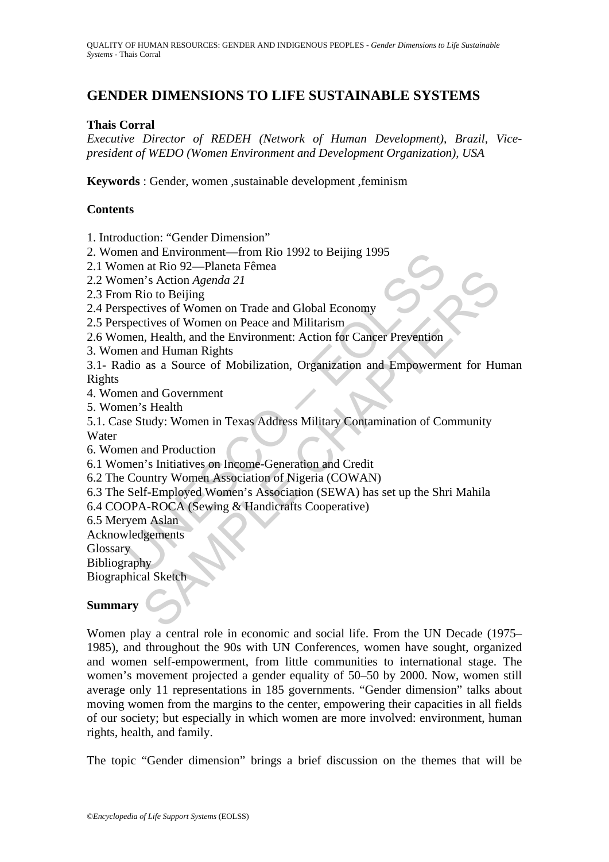# **GENDER DIMENSIONS TO LIFE SUSTAINABLE SYSTEMS**

#### **Thais Corral**

*Executive Director of REDEH (Network of Human Development), Brazil, Vicepresident of WEDO (Women Environment and Development Organization), USA* 

**Keywords** : Gender, women ,sustainable development ,feminism

#### **Contents**

1. Introduction: "Gender Dimension"

2. Women and Environment—from Rio 1992 to Beijing 1995

- 2.1 Women at Rio 92—Planeta Fêmea
- 2.2 Women's Action *Agenda 21*
- 2.3 From Rio to Beijing

2.4 Perspectives of Women on Trade and Global Economy

2.5 Perspectives of Women on Peace and Militarism

- 2.6 Women, Health, and the Environment: Action for Cancer Prevention
- 3. Women and Human Rights

en and Environment—Trom Kio 1992 to Beijing 1995<br>men at Rio 92—Planeta Fêmea<br>men's Action Agenda 21<br>men's Action Agenda 21<br>n Rio to Beijing<br>pectives of Women on Trade and Global Economy<br>pectives of Women on Peace and Milit ra riso 22—<br>
The Action Agenda 21<br>
This Action Agenda 21<br>
This Action Agenda 21<br>
This Action Agenda 21<br>
This as a Source of Mobilization, Organization and Empowerment for Hu<br>
and Human Rights<br>
as a Source of Mobilization, 3.1- Radio as a Source of Mobilization, Organization and Empowerment for Human Rights

- 4. Women and Government
- 5. Women's Health
- 5.1. Case Study: Women in Texas Address Military Contamination of Community

Water

- 6. Women and Production
- 6.1 Women's Initiatives on Income-Generation and Credit
- 6.2 The Country Women Association of Nigeria (COWAN)
- 6.3 The Self-Employed Women's Association (SEWA) has set up the Shri Mahila
- 6.4 COOPA-ROCA (Sewing & Handicrafts Cooperative)

6.5 Meryem Aslan

Acknowledgements

**Glossary** 

Bibliography

Biographical Sketch

### **Summary**

Women play a central role in economic and social life. From the UN Decade (1975– 1985), and throughout the 90s with UN Conferences, women have sought, organized and women self-empowerment, from little communities to international stage. The women's movement projected a gender equality of 50–50 by 2000. Now, women still average only 11 representations in 185 governments. "Gender dimension" talks about moving women from the margins to the center, empowering their capacities in all fields of our society; but especially in which women are more involved: environment, human rights, health, and family.

The topic "Gender dimension" brings a brief discussion on the themes that will be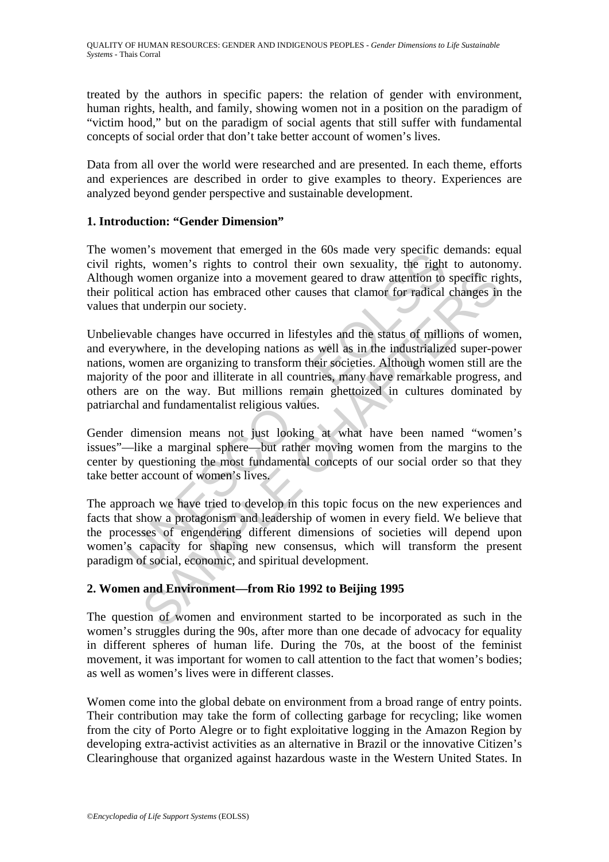treated by the authors in specific papers: the relation of gender with environment, human rights, health, and family, showing women not in a position on the paradigm of "victim hood," but on the paradigm of social agents that still suffer with fundamental concepts of social order that don't take better account of women's lives.

Data from all over the world were researched and are presented. In each theme, efforts and experiences are described in order to give examples to theory. Experiences are analyzed beyond gender perspective and sustainable development.

#### **1. Introduction: "Gender Dimension"**

The women's movement that emerged in the 60s made very specific demands: equal civil rights, women's rights to control their own sexuality, the right to autonomy. Although women organize into a movement geared to draw attention to specific rights, their political action has embraced other causes that clamor for radical changes in the values that underpin our society.

ment showement una emergeu in the toss made very spectrate that there is movement that energet in the town sexuality, the right showem organize into a movement geared to draw attention to litical action has embraced other where or expection and environment stated to developing 1995<br>on of women organize into a movement geared to draw attention to specific riginal action has embraced other causes that clamor for radical changes in<br>underpin ou Unbelievable changes have occurred in lifestyles and the status of millions of women, and everywhere, in the developing nations as well as in the industrialized super-power nations, women are organizing to transform their societies. Although women still are the majority of the poor and illiterate in all countries, many have remarkable progress, and others are on the way. But millions remain ghettoized in cultures dominated by patriarchal and fundamentalist religious values.

Gender dimension means not just looking at what have been named "women's issues"—like a marginal sphere—but rather moving women from the margins to the center by questioning the most fundamental concepts of our social order so that they take better account of women's lives.

The approach we have tried to develop in this topic focus on the new experiences and facts that show a protagonism and leadership of women in every field. We believe that the processes of engendering different dimensions of societies will depend upon women's capacity for shaping new consensus, which will transform the present paradigm of social, economic, and spiritual development.

### **2. Women and Environment—from Rio 1992 to Beijing 1995**

The question of women and environment started to be incorporated as such in the women's struggles during the 90s, after more than one decade of advocacy for equality in different spheres of human life. During the 70s, at the boost of the feminist movement, it was important for women to call attention to the fact that women's bodies; as well as women's lives were in different classes.

Women come into the global debate on environment from a broad range of entry points. Their contribution may take the form of collecting garbage for recycling; like women from the city of Porto Alegre or to fight exploitative logging in the Amazon Region by developing extra-activist activities as an alternative in Brazil or the innovative Citizen's Clearinghouse that organized against hazardous waste in the Western United States. In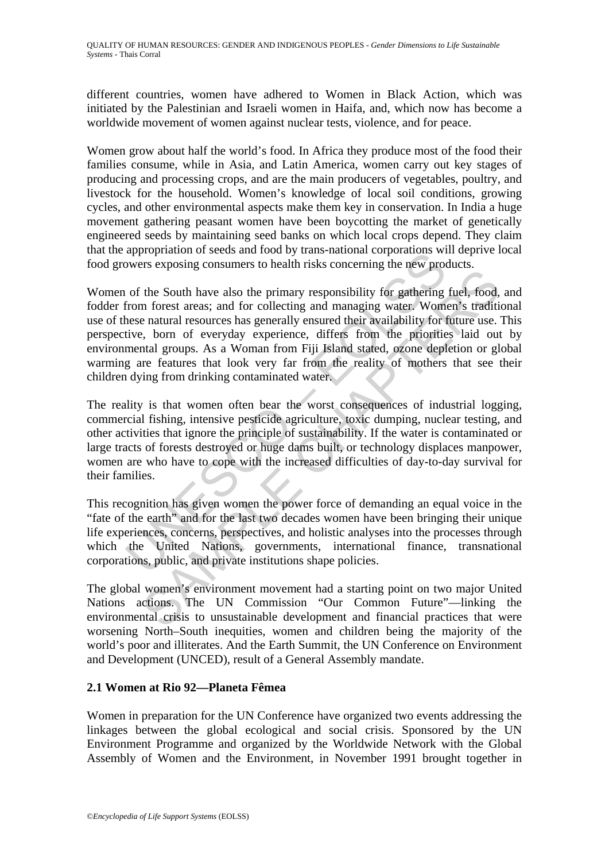different countries, women have adhered to Women in Black Action, which was initiated by the Palestinian and Israeli women in Haifa, and, which now has become a worldwide movement of women against nuclear tests, violence, and for peace.

Women grow about half the world's food. In Africa they produce most of the food their families consume, while in Asia, and Latin America, women carry out key stages of producing and processing crops, and are the main producers of vegetables, poultry, and livestock for the household. Women's knowledge of local soil conditions, growing cycles, and other environmental aspects make them key in conservation. In India a huge movement gathering peasant women have been boycotting the market of genetically engineered seeds by maintaining seed banks on which local crops depend. They claim that the appropriation of seeds and food by trans-national corporations will deprive local food growers exposing consumers to health risks concerning the new products.

appropriation of seeds and food by dans-hadional corporations whowers exposing consumers to health risks concerning the new process are food to the Scott have also the primary responsibility for gathering from forest areas the South have also the primary responsibility for gathering fuel, food, in forcest areas; and for collecting and managing water. Women's tradition in forest areas; and for collecting and managing water. Women's tradition, Women of the South have also the primary responsibility for gathering fuel, food, and fodder from forest areas; and for collecting and managing water. Women's traditional use of these natural resources has generally ensured their availability for future use. This perspective, born of everyday experience, differs from the priorities laid out by environmental groups. As a Woman from Fiji Island stated, ozone depletion or global warming are features that look very far from the reality of mothers that see their children dying from drinking contaminated water.

The reality is that women often bear the worst consequences of industrial logging, commercial fishing, intensive pesticide agriculture, toxic dumping, nuclear testing, and other activities that ignore the principle of sustainability. If the water is contaminated or large tracts of forests destroyed or huge dams built, or technology displaces manpower, women are who have to cope with the increased difficulties of day-to-day survival for their families.

This recognition has given women the power force of demanding an equal voice in the "fate of the earth" and for the last two decades women have been bringing their unique life experiences, concerns, perspectives, and holistic analyses into the processes through which the United Nations, governments, international finance, transnational corporations, public, and private institutions shape policies.

The global women's environment movement had a starting point on two major United Nations actions. The UN Commission "Our Common Future"—linking the environmental crisis to unsustainable development and financial practices that were worsening North–South inequities, women and children being the majority of the world's poor and illiterates. And the Earth Summit, the UN Conference on Environment and Development (UNCED), result of a General Assembly mandate.

### **2.1 Women at Rio 92—Planeta Fêmea**

Women in preparation for the UN Conference have organized two events addressing the linkages between the global ecological and social crisis. Sponsored by the UN Environment Programme and organized by the Worldwide Network with the Global Assembly of Women and the Environment, in November 1991 brought together in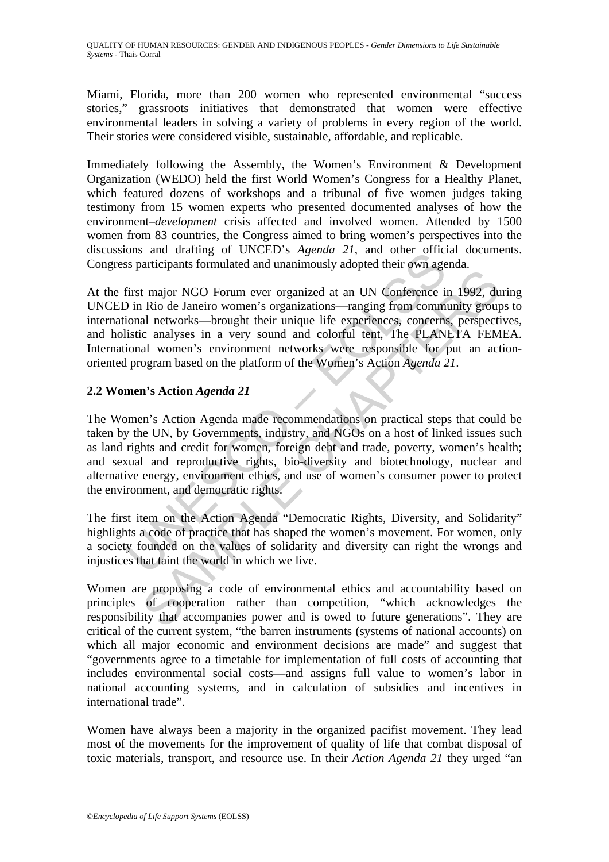Miami, Florida, more than 200 women who represented environmental "success stories," grassroots initiatives that demonstrated that women were effective environmental leaders in solving a variety of problems in every region of the world. Their stories were considered visible, sustainable, affordable, and replicable.

Immediately following the Assembly, the Women's Environment & Development Organization (WEDO) held the first World Women's Congress for a Healthy Planet, which featured dozens of workshops and a tribunal of five women judges taking testimony from 15 women experts who presented documented analyses of how the environment–*development* crisis affected and involved women. Attended by 1500 women from 83 countries, the Congress aimed to bring women's perspectives into the discussions and drafting of UNCED's *Agenda 21*, and other official documents. Congress participants formulated and unanimously adopted their own agenda.

At the first major NGO Forum ever organized at an UN Conference in 1992, during UNCED in Rio de Janeiro women's organizations—ranging from community groups to international networks—brought their unique life experiences, concerns, perspectives, and holistic analyses in a very sound and colorful tent, The PLANETA FEMEA. International women's environment networks were responsible for put an actionoriented program based on the platform of the Women's Action *Agenda 21*.

### **2.2 Women's Action** *Agenda 21*

ons and uraning of ONCED's Agenaar 21, and other oricins<br>sparticipants formulated and unanimously adopted their own age<br>first major NGO Forum ever organizations—ranging from comm<br>ional networks—brought their unique life ex Interior NGO Forum ever organized at an UN Conference in 1992, due and Nicola Baneiro women's organizations—ranging from community group<br>all networks—brought their unique life experiences, concerns, perspectic analyses in The Women's Action Agenda made recommendations on practical steps that could be taken by the UN, by Governments, industry, and NGOs on a host of linked issues such as land rights and credit for women, foreign debt and trade, poverty, women's health; and sexual and reproductive rights, bio-diversity and biotechnology, nuclear and alternative energy, environment ethics, and use of women's consumer power to protect the environment, and democratic rights.

The first item on the Action Agenda "Democratic Rights, Diversity, and Solidarity" highlights a code of practice that has shaped the women's movement. For women, only a society founded on the values of solidarity and diversity can right the wrongs and injustices that taint the world in which we live.

Women are proposing a code of environmental ethics and accountability based on principles of cooperation rather than competition, "which acknowledges the responsibility that accompanies power and is owed to future generations". They are critical of the current system, "the barren instruments (systems of national accounts) on which all major economic and environment decisions are made" and suggest that "governments agree to a timetable for implementation of full costs of accounting that includes environmental social costs—and assigns full value to women's labor in national accounting systems, and in calculation of subsidies and incentives in international trade".

Women have always been a majority in the organized pacifist movement. They lead most of the movements for the improvement of quality of life that combat disposal of toxic materials, transport, and resource use. In their *Action Agenda 21* they urged "an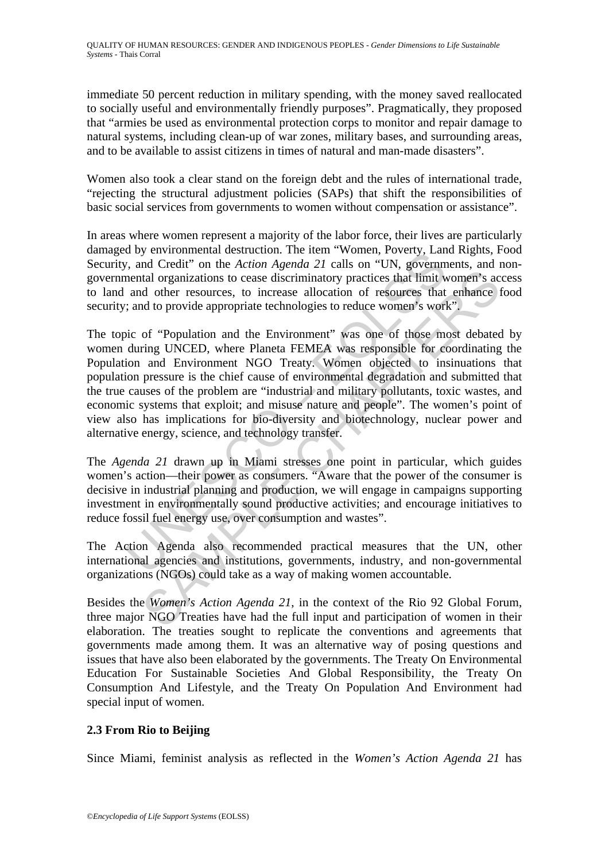immediate 50 percent reduction in military spending, with the money saved reallocated to socially useful and environmentally friendly purposes". Pragmatically, they proposed that "armies be used as environmental protection corps to monitor and repair damage to natural systems, including clean-up of war zones, military bases, and surrounding areas, and to be available to assist citizens in times of natural and man-made disasters".

Women also took a clear stand on the foreign debt and the rules of international trade, "rejecting the structural adjustment policies (SAPs) that shift the responsibilities of basic social services from governments to women without compensation or assistance".

In areas where women represent a majority of the labor force, their lives are particularly damaged by environmental destruction. The item "Women, Poverty, Land Rights, Food Security, and Credit" on the *Action Agenda 21* calls on "UN, governments, and nongovernmental organizations to cease discriminatory practices that limit women's access to land and other resources, to increase allocation of resources that enhance food security; and to provide appropriate technologies to reduce women's work".

To prenominate desturation. The mean women, Foverty, Land Credit" on the Action Agenda 21 calls on "UN, governmental organizations to cease discriminatory practices that limit wand other resources, to increase allocation o and organizations to cease discriminatory practices that limit women's accounted organizations to cease discriminatory practices that limit women's account of the resources, to increase allocation of resources that enhance The topic of "Population and the Environment" was one of those most debated by women during UNCED, where Planeta FEMEA was responsible for coordinating the Population and Environment NGO Treaty. Women objected to insinuations that population pressure is the chief cause of environmental degradation and submitted that the true causes of the problem are "industrial and military pollutants, toxic wastes, and economic systems that exploit; and misuse nature and people". The women's point of view also has implications for bio-diversity and biotechnology, nuclear power and alternative energy, science, and technology transfer.

The *Agenda 21* drawn up in Miami stresses one point in particular, which guides women's action—their power as consumers. "Aware that the power of the consumer is decisive in industrial planning and production, we will engage in campaigns supporting investment in environmentally sound productive activities; and encourage initiatives to reduce fossil fuel energy use, over consumption and wastes".

The Action Agenda also recommended practical measures that the UN, other international agencies and institutions, governments, industry, and non-governmental organizations (NGOs) could take as a way of making women accountable.

Besides the *Women's Action Agenda 21*, in the context of the Rio 92 Global Forum, three major NGO Treaties have had the full input and participation of women in their elaboration. The treaties sought to replicate the conventions and agreements that governments made among them. It was an alternative way of posing questions and issues that have also been elaborated by the governments. The Treaty On Environmental Education For Sustainable Societies And Global Responsibility, the Treaty On Consumption And Lifestyle, and the Treaty On Population And Environment had special input of women.

# **2.3 From Rio to Beijing**

Since Miami, feminist analysis as reflected in the *Women's Action Agenda 21* has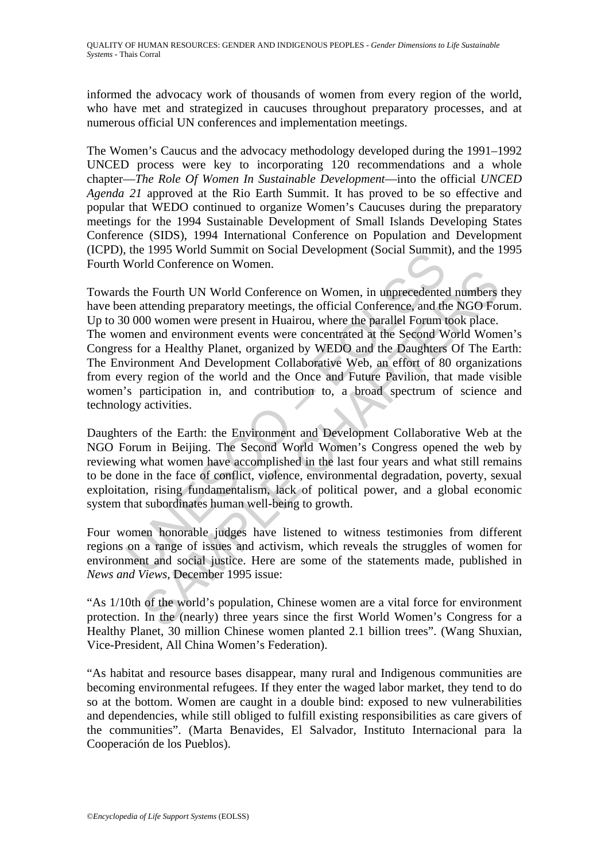informed the advocacy work of thousands of women from every region of the world, who have met and strategized in caucuses throughout preparatory processes, and at numerous official UN conferences and implementation meetings.

The Women's Caucus and the advocacy methodology developed during the 1991–1992 UNCED process were key to incorporating 120 recommendations and a whole chapter—*The Role Of Women In Sustainable Development*—into the official *UNCED Agenda 21* approved at the Rio Earth Summit. It has proved to be so effective and popular that WEDO continued to organize Women's Caucuses during the preparatory meetings for the 1994 Sustainable Development of Small Islands Developing States Conference (SIDS), 1994 International Conference on Population and Development (ICPD), the 1995 World Summit on Social Development (Social Summit), and the 1995 Fourth World Conference on Women.

World Conference on Women.<br>
Set the Fourth UN World Conference on Women, in unprecedented<br>
en attending preparatory meetings, the official Conference, and th<br>
0.000 women were present in Huairou, where the parallel Forum t Intending preparators whomen, in unprecedented numbers<br>attending preparatory meetings, the official Conference, and the NGO For<br>attending preparatory meetings, the official Conference, and the NGO For<br>an and environment ev Towards the Fourth UN World Conference on Women, in unprecedented numbers they have been attending preparatory meetings, the official Conference, and the NGO Forum. Up to 30 000 women were present in Huairou, where the parallel Forum took place. The women and environment events were concentrated at the Second World Women's Congress for a Healthy Planet, organized by WEDO and the Daughters Of The Earth: The Environment And Development Collaborative Web, an effort of 80 organizations from every region of the world and the Once and Future Pavilion, that made visible women's participation in, and contribution to, a broad spectrum of science and technology activities.

Daughters of the Earth: the Environment and Development Collaborative Web at the NGO Forum in Beijing. The Second World Women's Congress opened the web by reviewing what women have accomplished in the last four years and what still remains to be done in the face of conflict, violence, environmental degradation, poverty, sexual exploitation, rising fundamentalism, lack of political power, and a global economic system that subordinates human well-being to growth.

Four women honorable judges have listened to witness testimonies from different regions on a range of issues and activism, which reveals the struggles of women for environment and social justice. Here are some of the statements made, published in *News and Views*, December 1995 issue:

"As 1/10th of the world's population, Chinese women are a vital force for environment protection. In the (nearly) three years since the first World Women's Congress for a Healthy Planet, 30 million Chinese women planted 2.1 billion trees". (Wang Shuxian, Vice-President, All China Women's Federation).

"As habitat and resource bases disappear, many rural and Indigenous communities are becoming environmental refugees. If they enter the waged labor market, they tend to do so at the bottom. Women are caught in a double bind: exposed to new vulnerabilities and dependencies, while still obliged to fulfill existing responsibilities as care givers of the communities". (Marta Benavides, El Salvador, Instituto Internacional para la Cooperación de los Pueblos).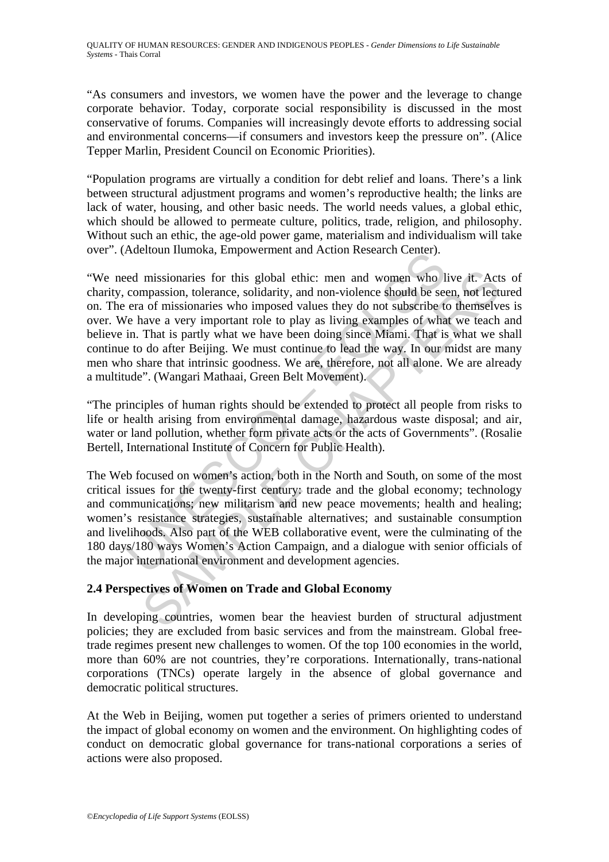"As consumers and investors, we women have the power and the leverage to change corporate behavior. Today, corporate social responsibility is discussed in the most conservative of forums. Companies will increasingly devote efforts to addressing social and environmental concerns—if consumers and investors keep the pressure on". (Alice Tepper Marlin, President Council on Economic Priorities).

"Population programs are virtually a condition for debt relief and loans. There's a link between structural adjustment programs and women's reproductive health; the links are lack of water, housing, and other basic needs. The world needs values, a global ethic, which should be allowed to permeate culture, politics, trade, religion, and philosophy. Without such an ethic, the age-old power game, materialism and individualism will take over". (Adeltoun Ilumoka, Empowerment and Action Research Center).

Adenoun numoka, Empowerment and Action Research Center).<br>
Early missionaries for this global ethic: men and women who I<br>
compassion, tolerance, solidarity, and non-violence should be see<br>
era of missionaries who imposed va missionaries for this global ethic: men and women who live it. Act<br>mpassion, tolerance, solidarity, and non-violence should be seen, not lect<br>of missionaries who imposed values they do not subscribe to themselve<br>are a very "We need missionaries for this global ethic: men and women who live it. Acts of charity, compassion, tolerance, solidarity, and non-violence should be seen, not lectured on. The era of missionaries who imposed values they do not subscribe to themselves is over. We have a very important role to play as living examples of what we teach and believe in. That is partly what we have been doing since Miami. That is what we shall continue to do after Beijing. We must continue to lead the way. In our midst are many men who share that intrinsic goodness. We are, therefore, not all alone. We are already a multitude". (Wangari Mathaai, Green Belt Movement).

"The principles of human rights should be extended to protect all people from risks to life or health arising from environmental damage, hazardous waste disposal; and air, water or land pollution, whether form private acts or the acts of Governments". (Rosalie Bertell, International Institute of Concern for Public Health).

The Web focused on women's action, both in the North and South, on some of the most critical issues for the twenty-first century: trade and the global economy; technology and communications; new militarism and new peace movements; health and healing; women's resistance strategies, sustainable alternatives; and sustainable consumption and livelihoods. Also part of the WEB collaborative event, were the culminating of the 180 days/180 ways Women's Action Campaign, and a dialogue with senior officials of the major international environment and development agencies.

# **2.4 Perspectives of Women on Trade and Global Economy**

In developing countries, women bear the heaviest burden of structural adjustment policies; they are excluded from basic services and from the mainstream. Global freetrade regimes present new challenges to women. Of the top 100 economies in the world, more than 60% are not countries, they're corporations. Internationally, trans-national corporations (TNCs) operate largely in the absence of global governance and democratic political structures.

At the Web in Beijing, women put together a series of primers oriented to understand the impact of global economy on women and the environment. On highlighting codes of conduct on democratic global governance for trans-national corporations a series of actions were also proposed.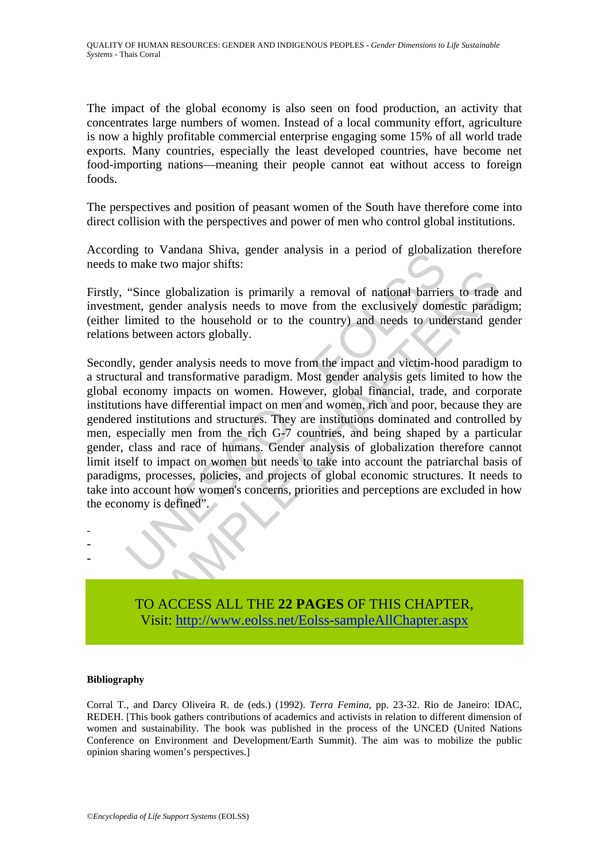The impact of the global economy is also seen on food production, an activity that concentrates large numbers of women. Instead of a local community effort, agriculture is now a highly profitable commercial enterprise engaging some 15% of all world trade exports. Many countries, especially the least developed countries, have become net food-importing nations—meaning their people cannot eat without access to foreign foods.

The perspectives and position of peasant women of the South have therefore come into direct collision with the perspectives and power of men who control global institutions.

According to Vandana Shiva, gender analysis in a period of globalization therefore needs to make two major shifts:

Firstly, "Since globalization is primarily a removal of national barriers to trade and investment, gender analysis needs to move from the exclusively domestic paradigm; (either limited to the household or to the country) and needs to understand gender relations between actors globally.

In a betwo major shifts:<br>
"Since globalization is primarily a removal of national barrier<br>
"Since globalization is primarily a removal of national barrier<br>
ent, gender analysis needs to move from the exclusively dome<br>
limi ince globalization is primarily a removal of national barriers to trade<br>tied to the analysis needs to move from the exclusively domestic paradi<br>tied to the household or to the country) and needs to understand get<br>extern ac Secondly, gender analysis needs to move from the impact and victim-hood paradigm to a structural and transformative paradigm. Most gender analysis gets limited to how the global economy impacts on women. However, global financial, trade, and corporate institutions have differential impact on men and women, rich and poor, because they are gendered institutions and structures. They are institutions dominated and controlled by men, especially men from the rich G-7 countries, and being shaped by a particular gender, class and race of humans. Gender analysis of globalization therefore cannot limit itself to impact on women but needs to take into account the patriarchal basis of paradigms, processes, policies, and projects of global economic structures. It needs to take into account how women's concerns, priorities and perceptions are excluded in how the economy is defined".

TO ACCESS ALL THE **22 PAGES** OF THIS CHAPTER, Visit: http://www.eolss.net/Eolss-sampleAllChapter.aspx

#### **Bibliography**

- - -

Corral T., and Darcy Oliveira R. de (eds.) (1992). *Terra Femina*, pp. 23-32. Rio de Janeiro: IDAC, REDEH. [This book gathers contributions of academics and activists in relation to different dimension of women and sustainability. The book was published in the process of the UNCED (United Nations Conference on Environment and Development/Earth Summit). The aim was to mobilize the public opinion sharing women's perspectives.]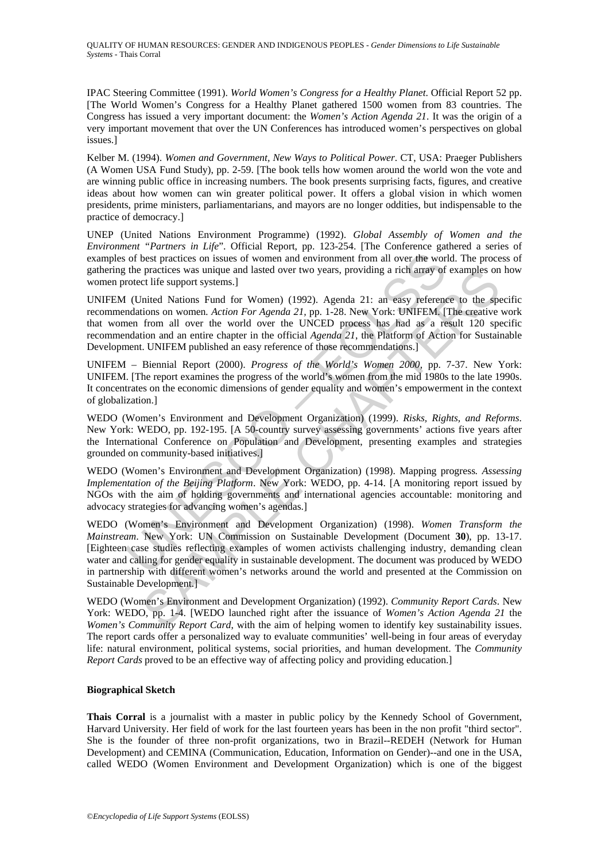IPAC Steering Committee (1991). *World Women's Congress for a Healthy Planet*. Official Report 52 pp. [The World Women's Congress for a Healthy Planet gathered 1500 women from 83 countries. The Congress has issued a very important document: the *Women's Action Agenda 21*. It was the origin of a very important movement that over the UN Conferences has introduced women's perspectives on global issues.]

Kelber M. (1994). *Women and Government, New Ways to Political Power*. CT, USA: Praeger Publishers (A Women USA Fund Study), pp. 2-59. [The book tells how women around the world won the vote and are winning public office in increasing numbers. The book presents surprising facts, figures, and creative ideas about how women can win greater political power. It offers a global vision in which women presidents, prime ministers, parliamentarians, and mayors are no longer oddities, but indispensable to the practice of democracy.]

UNEP (United Nations Environment Programme) (1992). *Global Assembly of Women and the Environment "Partners in Life*". Official Report, pp. 123-254. [The Conference gathered a series of examples of best practices on issues of women and environment from all over the world. The process of gathering the practices was unique and lasted over two years, providing a rich array of examples on how women protect life support systems.]

of best practices on issues of women and environment from all over the wort<br>the practices was unique and lasted over two years, providing a rich array of<br>ortect life support systems.]<br>(Curited Nations Fund for Women) (199 UNIFEM (United Nations Fund for Women) (1992). Agenda 21: an easy reference to the specific recommendations on women*. Action For Agenda 21,* pp. 1-28. New York: UNIFEM. [The creative work that women from all over the world over the UNCED process has had as a result 120 specific recommendation and an entire chapter in the official *Agenda 21*, the Platform of Action for Sustainable Development. UNIFEM published an easy reference of those recommendations.]

UNIFEM – Biennial Report (2000). *Progress of the World's Women 2000*, pp. 7-37. New York: UNIFEM. [The report examines the progress of the world's women from the mid 1980s to the late 1990s. It concentrates on the economic dimensions of gender equality and women's empowerment in the context of globalization.]

WEDO (Women's Environment and Development Organization) (1999). *Risks, Rights, and Reforms*. New York: WEDO, pp. 192-195. [A 50-country survey assessing governments' actions five years after the International Conference on Population and Development, presenting examples and strategies grounded on community-based initiatives.]

WEDO (Women's Environment and Development Organization) (1998). Mapping progress*. Assessing Implementation of the Beijing Platform*. New York: WEDO, pp. 4-14. [A monitoring report issued by NGOs with the aim of holding governments and international agencies accountable: monitoring and advocacy strategies for advancing women's agendas.]

practices was unique and lasted over two years, providing a rich array of examples on<br>practices was unique and lasted over two years, providing a rich array of examples on<br>finited Nations Fund for Women) (1992). Agenda 21 WEDO (Women's Environment and Development Organization) (1998). *Women Transform the Mainstream*. New York: UN Commission on Sustainable Development (Document **30**), pp. 13-17. [Eighteen case studies reflecting examples of women activists challenging industry, demanding clean water and calling for gender equality in sustainable development. The document was produced by WEDO in partnership with different women's networks around the world and presented at the Commission on Sustainable Development.]

WEDO (Women's Environment and Development Organization) (1992). *Community Report Cards*. New York: WEDO, pp. 1-4. [WEDO launched right after the issuance of *Women's Action Agenda 21* the *Women's Community Report Card*, with the aim of helping women to identify key sustainability issues. The report cards offer a personalized way to evaluate communities' well-being in four areas of everyday life: natural environment, political systems, social priorities, and human development. The *Community Report Cards* proved to be an effective way of affecting policy and providing education.]

#### **Biographical Sketch**

**Thais Corral** is a journalist with a master in public policy by the Kennedy School of Government, Harvard University. Her field of work for the last fourteen years has been in the non profit "third sector". She is the founder of three non-profit organizations, two in Brazil--REDEH (Network for Human Development) and CEMINA (Communication, Education, Information on Gender)--and one in the USA, called WEDO (Women Environment and Development Organization) which is one of the biggest